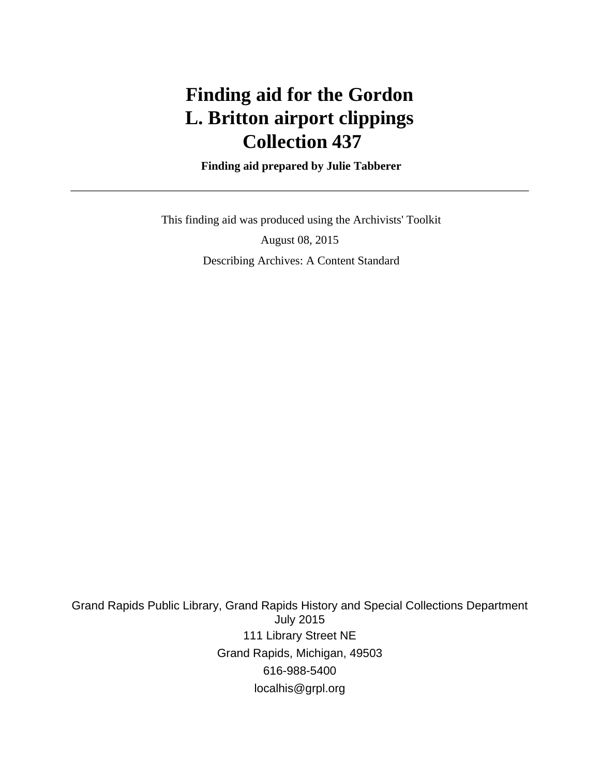# **Finding aid for the Gordon L. Britton airport clippings Collection 437**

 **Finding aid prepared by Julie Tabberer**

 This finding aid was produced using the Archivists' Toolkit August 08, 2015 Describing Archives: A Content Standard

Grand Rapids Public Library, Grand Rapids History and Special Collections Department July 2015 111 Library Street NE Grand Rapids, Michigan, 49503 616-988-5400 localhis@grpl.org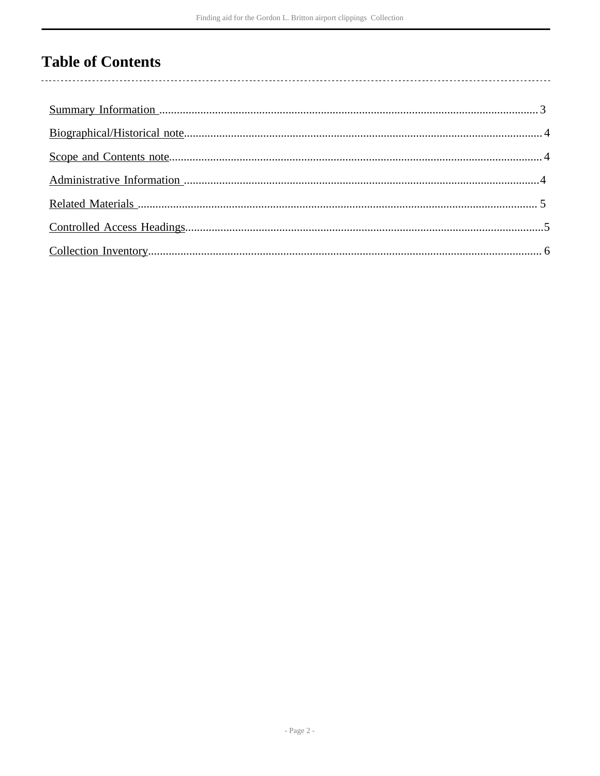## **Table of Contents**

 $\overline{\phantom{a}}$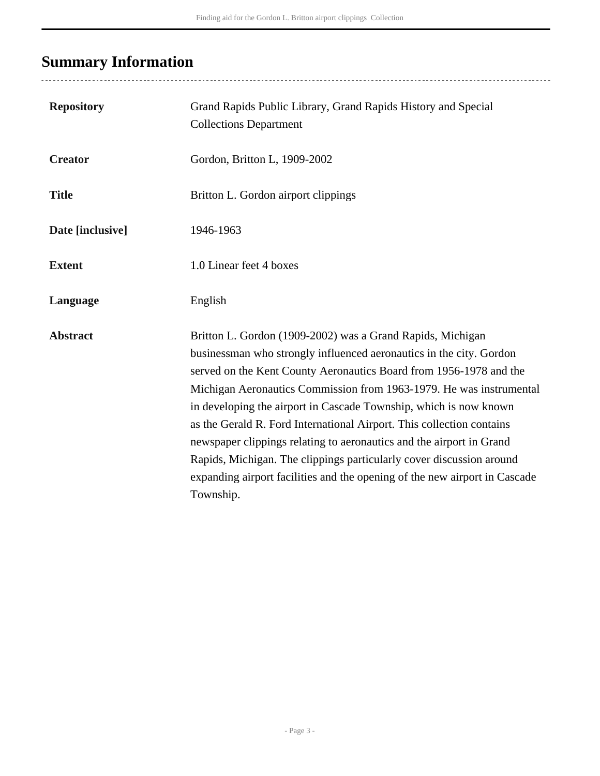## <span id="page-2-0"></span>**Summary Information**

..................................

| <b>Repository</b> | Grand Rapids Public Library, Grand Rapids History and Special<br><b>Collections Department</b>                                                                                                                                                                                                                                                                                                                                                                                                                                                                                                                                                                          |
|-------------------|-------------------------------------------------------------------------------------------------------------------------------------------------------------------------------------------------------------------------------------------------------------------------------------------------------------------------------------------------------------------------------------------------------------------------------------------------------------------------------------------------------------------------------------------------------------------------------------------------------------------------------------------------------------------------|
| <b>Creator</b>    | Gordon, Britton L, 1909-2002                                                                                                                                                                                                                                                                                                                                                                                                                                                                                                                                                                                                                                            |
| <b>Title</b>      | Britton L. Gordon airport clippings                                                                                                                                                                                                                                                                                                                                                                                                                                                                                                                                                                                                                                     |
| Date [inclusive]  | 1946-1963                                                                                                                                                                                                                                                                                                                                                                                                                                                                                                                                                                                                                                                               |
| <b>Extent</b>     | 1.0 Linear feet 4 boxes                                                                                                                                                                                                                                                                                                                                                                                                                                                                                                                                                                                                                                                 |
| Language          | English                                                                                                                                                                                                                                                                                                                                                                                                                                                                                                                                                                                                                                                                 |
| <b>Abstract</b>   | Britton L. Gordon (1909-2002) was a Grand Rapids, Michigan<br>businessman who strongly influenced aeronautics in the city. Gordon<br>served on the Kent County Aeronautics Board from 1956-1978 and the<br>Michigan Aeronautics Commission from 1963-1979. He was instrumental<br>in developing the airport in Cascade Township, which is now known<br>as the Gerald R. Ford International Airport. This collection contains<br>newspaper clippings relating to aeronautics and the airport in Grand<br>Rapids, Michigan. The clippings particularly cover discussion around<br>expanding airport facilities and the opening of the new airport in Cascade<br>Township. |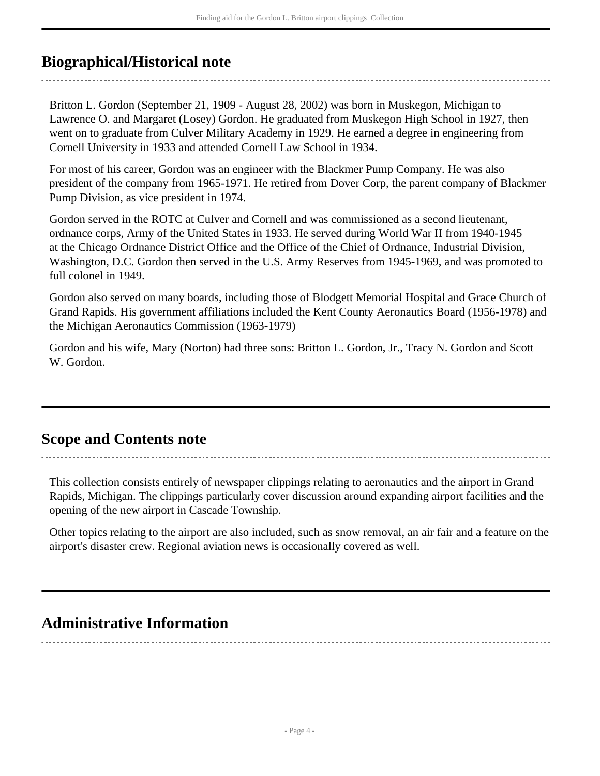### <span id="page-3-0"></span>**Biographical/Historical note**

Britton L. Gordon (September 21, 1909 - August 28, 2002) was born in Muskegon, Michigan to Lawrence O. and Margaret (Losey) Gordon. He graduated from Muskegon High School in 1927, then went on to graduate from Culver Military Academy in 1929. He earned a degree in engineering from Cornell University in 1933 and attended Cornell Law School in 1934.

For most of his career, Gordon was an engineer with the Blackmer Pump Company. He was also president of the company from 1965-1971. He retired from Dover Corp, the parent company of Blackmer Pump Division, as vice president in 1974.

Gordon served in the ROTC at Culver and Cornell and was commissioned as a second lieutenant, ordnance corps, Army of the United States in 1933. He served during World War II from 1940-1945 at the Chicago Ordnance District Office and the Office of the Chief of Ordnance, Industrial Division, Washington, D.C. Gordon then served in the U.S. Army Reserves from 1945-1969, and was promoted to full colonel in 1949.

Gordon also served on many boards, including those of Blodgett Memorial Hospital and Grace Church of Grand Rapids. His government affiliations included the Kent County Aeronautics Board (1956-1978) and the Michigan Aeronautics Commission (1963-1979)

Gordon and his wife, Mary (Norton) had three sons: Britton L. Gordon, Jr., Tracy N. Gordon and Scott W. Gordon.

### <span id="page-3-1"></span>**Scope and Contents note**

This collection consists entirely of newspaper clippings relating to aeronautics and the airport in Grand Rapids, Michigan. The clippings particularly cover discussion around expanding airport facilities and the opening of the new airport in Cascade Township.

Other topics relating to the airport are also included, such as snow removal, an air fair and a feature on the airport's disaster crew. Regional aviation news is occasionally covered as well.

### <span id="page-3-2"></span>**Administrative Information**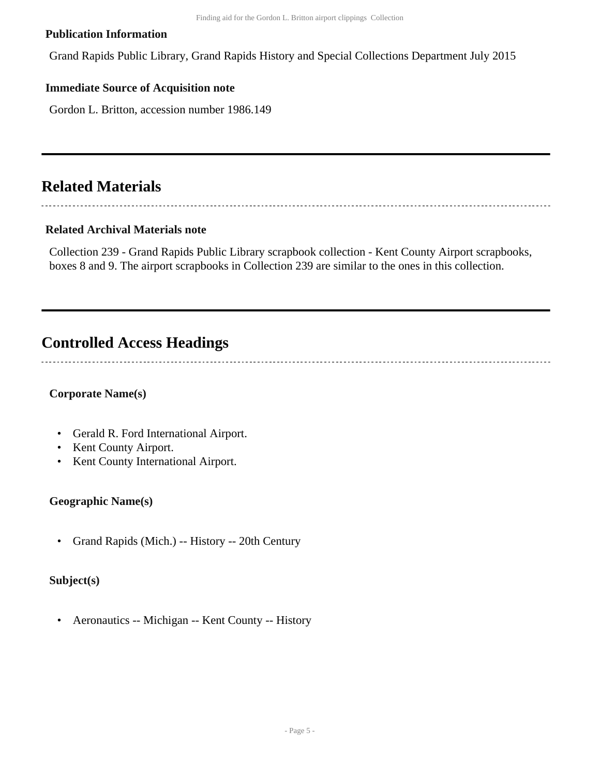#### **Publication Information**

Grand Rapids Public Library, Grand Rapids History and Special Collections Department July 2015

### **Immediate Source of Acquisition note**

Gordon L. Britton, accession number 1986.149

### <span id="page-4-0"></span>**Related Materials**

### **Related Archival Materials note**

Collection 239 - Grand Rapids Public Library scrapbook collection - Kent County Airport scrapbooks, boxes 8 and 9. The airport scrapbooks in Collection 239 are similar to the ones in this collection.

### <span id="page-4-1"></span>**Controlled Access Headings**

#### **Corporate Name(s)**

- Gerald R. Ford International Airport.
- Kent County Airport.
- Kent County International Airport.

#### **Geographic Name(s)**

• Grand Rapids (Mich.) -- History -- 20th Century

#### **Subject(s)**

• Aeronautics -- Michigan -- Kent County -- History